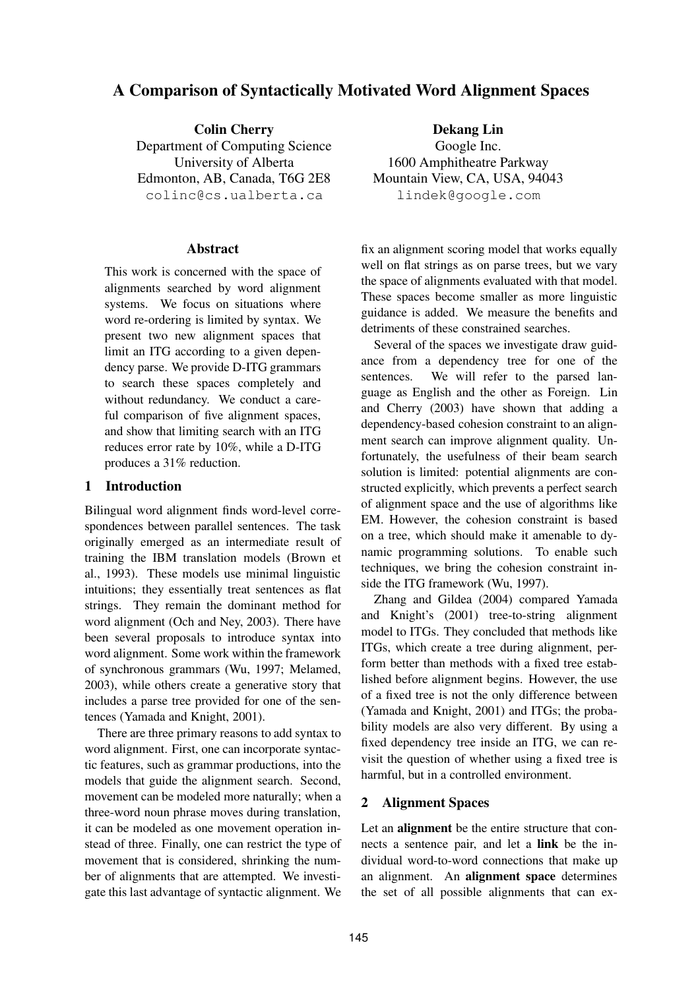# **A Comparison of Syntactically Motivated Word Alignment Spaces**

**Colin Cherry** Department of Computing Science University of Alberta Edmonton, AB, Canada, T6G 2E8 colinc@cs.ualberta.ca

## **Abstract**

This work is concerned with the space of alignments searched by word alignment systems. We focus on situations where word re-ordering is limited by syntax. We present two new alignment spaces that limit an ITG according to a given dependency parse. We provide D-ITG grammars to search these spaces completely and without redundancy. We conduct a careful comparison of five alignment spaces, and show that limiting search with an ITG reduces error rate by 10%, while a D-ITG produces a 31% reduction.

# **1 Introduction**

Bilingual word alignment finds word-level correspondences between parallel sentences. The task originally emerged as an intermediate result of training the IBM translation models (Brown et al., 1993). These models use minimal linguistic intuitions; they essentially treat sentences as flat strings. They remain the dominant method for word alignment (Och and Ney, 2003). There have been several proposals to introduce syntax into word alignment. Some work within the framework of synchronous grammars (Wu, 1997; Melamed, 2003), while others create a generative story that includes a parse tree provided for one of the sentences (Yamada and Knight, 2001).

There are three primary reasons to add syntax to word alignment. First, one can incorporate syntactic features, such as grammar productions, into the models that guide the alignment search. Second, movement can be modeled more naturally; when a three-word noun phrase moves during translation, it can be modeled as one movement operation instead of three. Finally, one can restrict the type of movement that is considered, shrinking the number of alignments that are attempted. We investigate this last advantage of syntactic alignment. We

**Dekang Lin** Google Inc. 1600 Amphitheatre Parkway Mountain View, CA, USA, 94043 lindek@google.com

fix an alignment scoring model that works equally well on flat strings as on parse trees, but we vary the space of alignments evaluated with that model. These spaces become smaller as more linguistic guidance is added. We measure the benefits and detriments of these constrained searches.

Several of the spaces we investigate draw guidance from a dependency tree for one of the sentences. We will refer to the parsed language as English and the other as Foreign. Lin and Cherry (2003) have shown that adding a dependency-based cohesion constraint to an alignment search can improve alignment quality. Unfortunately, the usefulness of their beam search solution is limited: potential alignments are constructed explicitly, which prevents a perfect search of alignment space and the use of algorithms like EM. However, the cohesion constraint is based on a tree, which should make it amenable to dynamic programming solutions. To enable such techniques, we bring the cohesion constraint inside the ITG framework (Wu, 1997).

Zhang and Gildea (2004) compared Yamada and Knight's (2001) tree-to-string alignment model to ITGs. They concluded that methods like ITGs, which create a tree during alignment, perform better than methods with a fixed tree established before alignment begins. However, the use of a fixed tree is not the only difference between (Yamada and Knight, 2001) and ITGs; the probability models are also very different. By using a fixed dependency tree inside an ITG, we can revisit the question of whether using a fixed tree is harmful, but in a controlled environment.

# **2 Alignment Spaces**

Let an **alignment** be the entire structure that connects a sentence pair, and let a **link** be the individual word-to-word connections that make up an alignment. An **alignment space** determines the set of all possible alignments that can ex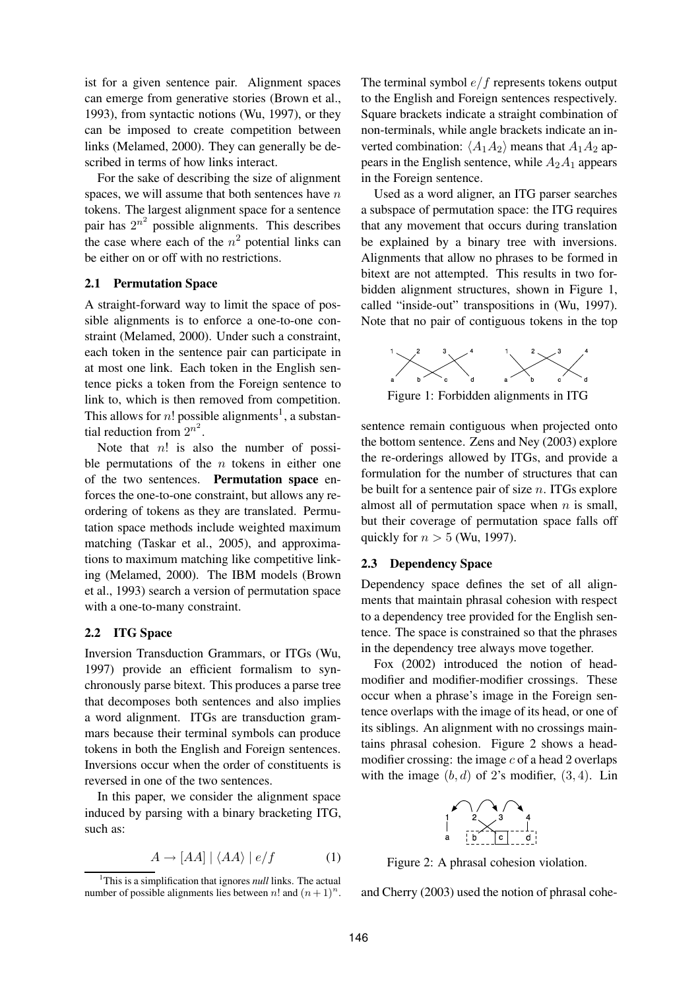ist for a given sentence pair. Alignment spaces can emerge from generative stories (Brown et al., 1993), from syntactic notions (Wu, 1997), or they can be imposed to create competition between links (Melamed, 2000). They can generally be described in terms of how links interact.

For the sake of describing the size of alignment spaces, we will assume that both sentences have  $n$ tokens. The largest alignment space for a sentence pair has  $2^{n^2}$  possible alignments. This describes the case where each of the  $n^2$  potential links can be either on or off with no restrictions.

#### **2.1 Permutation Space**

A straight-forward way to limit the space of possible alignments is to enforce a one-to-one constraint (Melamed, 2000). Under such a constraint, each token in the sentence pair can participate in at most one link. Each token in the English sentence picks a token from the Foreign sentence to link to, which is then removed from competition. This allows for *n*! possible alignments<sup>1</sup>, a substantial reduction from  $2^{n^2}$ .

Note that  $n!$  is also the number of possible permutations of the  $n$  tokens in either one of the two sentences. **Permutation space** enforces the one-to-one constraint, but allows any reordering of tokens as they are translated. Permutation space methods include weighted maximum matching (Taskar et al., 2005), and approximations to maximum matching like competitive linking (Melamed, 2000). The IBM models (Brown et al., 1993) search a version of permutation space with a one-to-many constraint.

#### **2.2 ITG Space**

Inversion Transduction Grammars, or ITGs (Wu, 1997) provide an efficient formalism to synchronously parse bitext. This produces a parse tree that decomposes both sentences and also implies a word alignment. ITGs are transduction grammars because their terminal symbols can produce tokens in both the English and Foreign sentences. Inversions occur when the order of constituents is reversed in one of the two sentences.

In this paper, we consider the alignment space induced by parsing with a binary bracketing ITG, such as:

$$
A \to [AA] \mid \langle AA \rangle \mid e/f \tag{1}
$$

The terminal symbol  $e/f$  represents tokens output to the English and Foreign sentences respectively. Square brackets indicate a straight combination of non-terminals, while angle brackets indicate an inverted combination:  $\langle A_1 A_2 \rangle$  means that  $A_1 A_2$  appears in the English sentence, while  $A_2A_1$  appears in the Foreign sentence.

Used as a word aligner, an ITG parser searches a subspace of permutation space: the ITG requires that any movement that occurs during translation be explained by a binary tree with inversions. Alignments that allow no phrases to be formed in bitext are not attempted. This results in two forbidden alignment structures, shown in Figure 1, called "inside-out" transpositions in (Wu, 1997). Note that no pair of contiguous tokens in the top



Figure 1: Forbidden alignments in ITG

sentence remain contiguous when projected onto the bottom sentence. Zens and Ney (2003) explore the re-orderings allowed by ITGs, and provide a formulation for the number of structures that can be built for a sentence pair of size  $n$ . ITGs explore almost all of permutation space when  $n$  is small, but their coverage of permutation space falls off quickly for  $n > 5$  (Wu, 1997).

#### **2.3 Dependency Space**

Dependency space defines the set of all alignments that maintain phrasal cohesion with respect to a dependency tree provided for the English sentence. The space is constrained so that the phrases in the dependency tree always move together.

Fox (2002) introduced the notion of headmodifier and modifier-modifier crossings. These occur when a phrase's image in the Foreign sentence overlaps with the image of its head, or one of its siblings. An alignment with no crossings maintains phrasal cohesion. Figure 2 shows a headmodifier crossing: the image  $c$  of a head 2 overlaps with the image  $(b, d)$  of 2's modifier,  $(3, 4)$ . Lin



Figure 2: A phrasal cohesion violation.

and Cherry (2003) used the notion of phrasal cohe-

<sup>&</sup>lt;sup>1</sup>This is a simplification that ignores *null* links. The actual number of possible alignments lies between n! and  $(n+1)^n$ .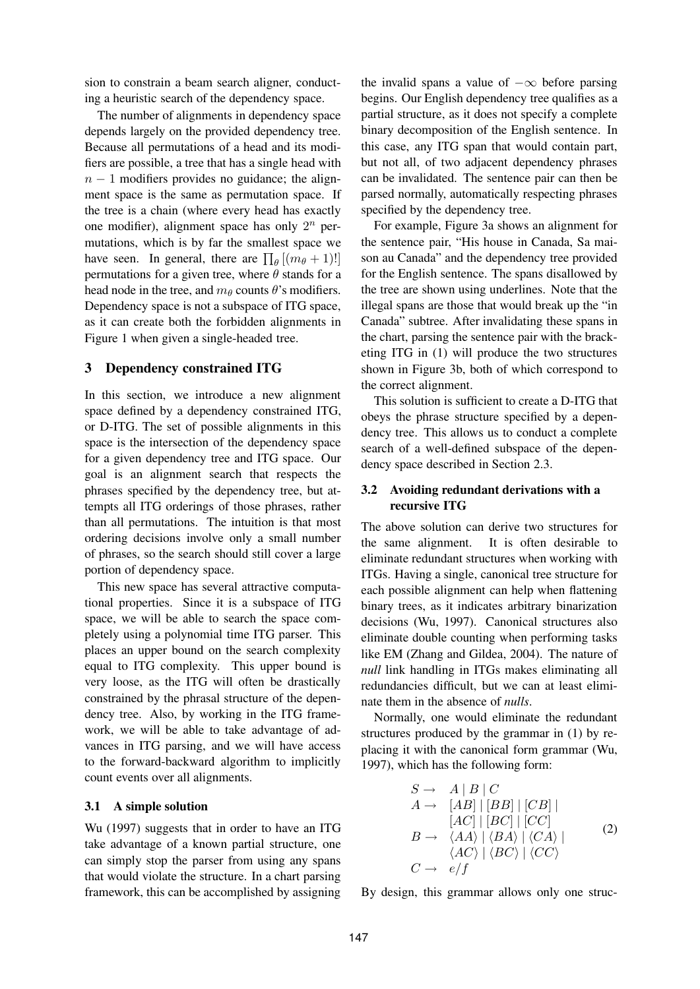sion to constrain a beam search aligner, conducting a heuristic search of the dependency space.

The number of alignments in dependency space depends largely on the provided dependency tree. Because all permutations of a head and its modifiers are possible, a tree that has a single head with  $n - 1$  modifiers provides no guidance; the alignment space is the same as permutation space. If the tree is a chain (where every head has exactly one modifier), alignment space has only  $2^n$  permutations, which is by far the smallest space we have seen. In general, there are  $\prod_{\theta} [(m_{\theta} + 1)!]$ permutations for a given tree, where  $\theta$  stands for a head node in the tree, and  $m_\theta$  counts  $\theta$ 's modifiers. Dependency space is not a subspace of ITG space, as it can create both the forbidden alignments in Figure 1 when given a single-headed tree.

## **3 Dependency constrained ITG**

In this section, we introduce a new alignment space defined by a dependency constrained ITG, or D-ITG. The set of possible alignments in this space is the intersection of the dependency space for a given dependency tree and ITG space. Our goal is an alignment search that respects the phrases specified by the dependency tree, but attempts all ITG orderings of those phrases, rather than all permutations. The intuition is that most ordering decisions involve only a small number of phrases, so the search should still cover a large portion of dependency space.

This new space has several attractive computational properties. Since it is a subspace of ITG space, we will be able to search the space completely using a polynomial time ITG parser. This places an upper bound on the search complexity equal to ITG complexity. This upper bound is very loose, as the ITG will often be drastically constrained by the phrasal structure of the dependency tree. Also, by working in the ITG framework, we will be able to take advantage of advances in ITG parsing, and we will have access to the forward-backward algorithm to implicitly count events over all alignments.

## **3.1 A simple solution**

Wu (1997) suggests that in order to have an ITG take advantage of a known partial structure, one can simply stop the parser from using any spans that would violate the structure. In a chart parsing framework, this can be accomplished by assigning

the invalid spans a value of  $-\infty$  before parsing begins. Our English dependency tree qualifies as a partial structure, as it does not specify a complete binary decomposition of the English sentence. In this case, any ITG span that would contain part, but not all, of two adjacent dependency phrases can be invalidated. The sentence pair can then be parsed normally, automatically respecting phrases specified by the dependency tree.

For example, Figure 3a shows an alignment for the sentence pair, "His house in Canada, Sa maison au Canada" and the dependency tree provided for the English sentence. The spans disallowed by the tree are shown using underlines. Note that the illegal spans are those that would break up the "in Canada" subtree. After invalidating these spans in the chart, parsing the sentence pair with the bracketing ITG in (1) will produce the two structures shown in Figure 3b, both of which correspond to the correct alignment.

This solution is sufficient to create a D-ITG that obeys the phrase structure specified by a dependency tree. This allows us to conduct a complete search of a well-defined subspace of the dependency space described in Section 2.3.

## **3.2 Avoiding redundant derivations with a recursive ITG**

The above solution can derive two structures for the same alignment. It is often desirable to eliminate redundant structures when working with ITGs. Having a single, canonical tree structure for each possible alignment can help when flattening binary trees, as it indicates arbitrary binarization decisions (Wu, 1997). Canonical structures also eliminate double counting when performing tasks like EM (Zhang and Gildea, 2004). The nature of *null* link handling in ITGs makes eliminating all redundancies difficult, but we can at least eliminate them in the absence of *nulls*.

Normally, one would eliminate the redundant structures produced by the grammar in (1) by replacing it with the canonical form grammar (Wu, 1997), which has the following form:

$$
S \rightarrow A | B | C
$$
  
\n
$$
A \rightarrow [AB] | [BB] | [CB] |
$$
  
\n
$$
[AC] | [BC] | [CC]
$$
  
\n
$$
B \rightarrow \langle AA \rangle | \langle BA \rangle | \langle CA \rangle |
$$
  
\n
$$
\langle AC \rangle | \langle BC \rangle | \langle CC \rangle
$$
  
\n
$$
C \rightarrow e/f
$$
  
\n(2)

By design, this grammar allows only one struc-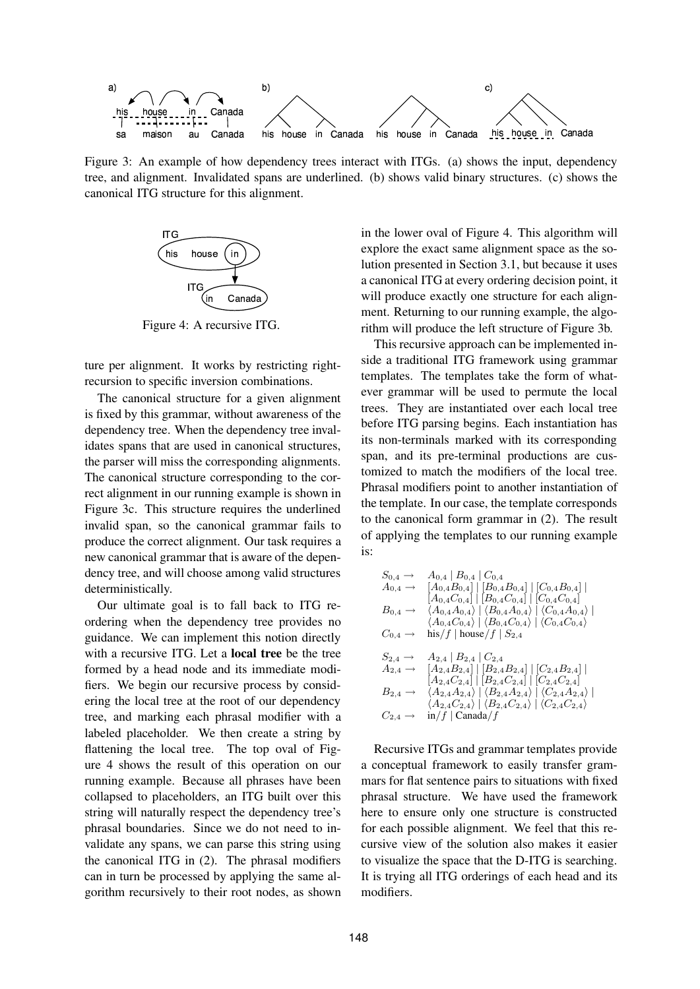

Figure 3: An example of how dependency trees interact with ITGs. (a) shows the input, dependency tree, and alignment. Invalidated spans are underlined. (b) shows valid binary structures. (c) shows the canonical ITG structure for this alignment.



Figure 4: A recursive ITG.

ture per alignment. It works by restricting rightrecursion to specific inversion combinations.

The canonical structure for a given alignment is fixed by this grammar, without awareness of the dependency tree. When the dependency tree invalidates spans that are used in canonical structures, the parser will miss the corresponding alignments. The canonical structure corresponding to the correct alignment in our running example is shown in Figure 3c. This structure requires the underlined invalid span, so the canonical grammar fails to produce the correct alignment. Our task requires a new canonical grammar that is aware of the dependency tree, and will choose among valid structures deterministically.

Our ultimate goal is to fall back to ITG reordering when the dependency tree provides no guidance. We can implement this notion directly with a recursive ITG. Let a **local tree** be the tree formed by a head node and its immediate modifiers. We begin our recursive process by considering the local tree at the root of our dependency tree, and marking each phrasal modifier with a labeled placeholder. We then create a string by flattening the local tree. The top oval of Figure 4 shows the result of this operation on our running example. Because all phrases have been collapsed to placeholders, an ITG built over this string will naturally respect the dependency tree's phrasal boundaries. Since we do not need to invalidate any spans, we can parse this string using the canonical ITG in (2). The phrasal modifiers can in turn be processed by applying the same algorithm recursively to their root nodes, as shown

in the lower oval of Figure 4. This algorithm will explore the exact same alignment space as the solution presented in Section 3.1, but because it uses a canonical ITG at every ordering decision point, it will produce exactly one structure for each alignment. Returning to our running example, the algorithm will produce the left structure of Figure 3b.

This recursive approach can be implemented inside a traditional ITG framework using grammar templates. The templates take the form of whatever grammar will be used to permute the local trees. They are instantiated over each local tree before ITG parsing begins. Each instantiation has its non-terminals marked with its corresponding span, and its pre-terminal productions are customized to match the modifiers of the local tree. Phrasal modifiers point to another instantiation of the template. In our case, the template corresponds to the canonical form grammar in (2). The result of applying the templates to our running example is:

$$
S_{0,4} \rightarrow A_{0,4} | B_{0,4} | C_{0,4}
$$
\n
$$
A_{0,4} \rightarrow [A_{0,4}B_{0,4}] | [B_{0,4}B_{0,4}] | [C_{0,4}B_{0,4}] |
$$
\n
$$
[A_{0,4}C_{0,4}] | [B_{0,4}C_{0,4}] | [C_{0,4}C_{0,4}]
$$
\n
$$
B_{0,4} \rightarrow \langle A_{0,4}A_{0,4} \rangle | \langle B_{0,4}A_{0,4} \rangle | \langle C_{0,4}A_{0,4} \rangle |
$$
\n
$$
\langle A_{0,4}C_{0,4} \rangle | \langle B_{0,4}C_{0,4} \rangle | \langle C_{0,4}C_{0,4} \rangle
$$
\n
$$
C_{0,4} \rightarrow \text{his}/f | \text{house}/f | S_{2,4}
$$
\n
$$
S_{2,4} \rightarrow A_{2,4} | B_{2,4} | C_{2,4}
$$
\n
$$
A_{2,4} \rightarrow [A_{2,4}B_{2,4}] | [B_{2,4}B_{2,4}] | [C_{2,4}B_{2,4}] |
$$
\n
$$
[A_{2,4}C_{2,4}] | [B_{2,4}C_{2,4}] | [C_{2,4}C_{2,4}]
$$
\n
$$
B_{2,4} \rightarrow \langle A_{2,4}A_{2,4} \rangle | \langle B_{2,4}A_{2,4} \rangle | \langle C_{2,4}A_{2,4} \rangle |
$$
\n
$$
\langle A_{2,4}C_{2,4} \rangle | \langle B_{2,4}C_{2,4} \rangle | \langle C_{2,4}C_{2,4} \rangle
$$
\n
$$
C_{2,4} \rightarrow \text{in}/f | \text{Canada}/f
$$

Recursive ITGs and grammar templates provide a conceptual framework to easily transfer grammars for flat sentence pairs to situations with fixed phrasal structure. We have used the framework here to ensure only one structure is constructed for each possible alignment. We feel that this recursive view of the solution also makes it easier to visualize the space that the D-ITG is searching. It is trying all ITG orderings of each head and its modifiers.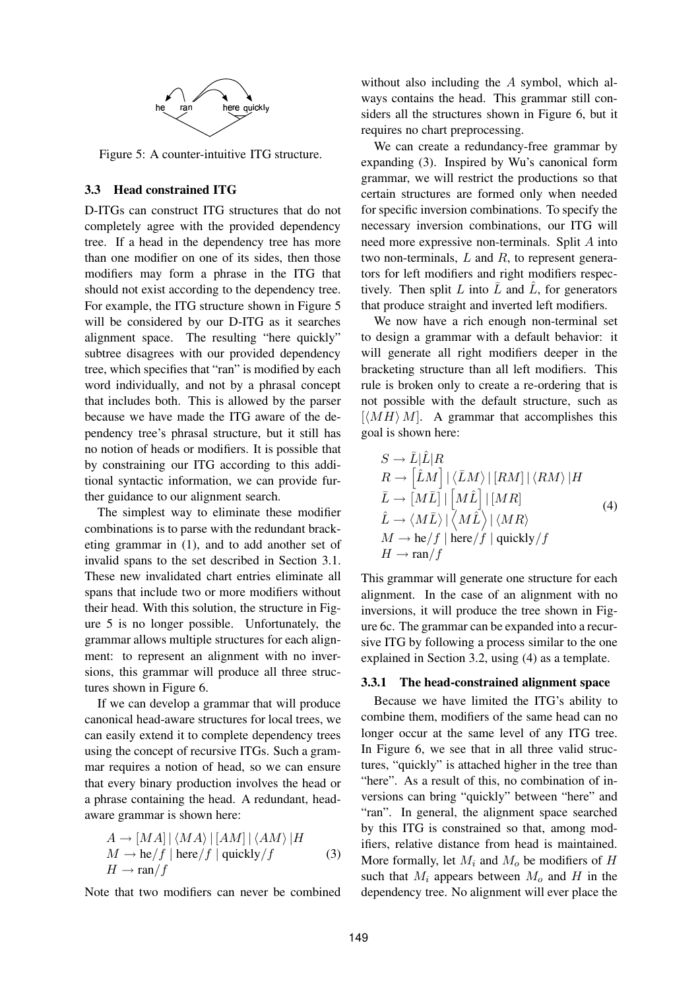

Figure 5: A counter-intuitive ITG structure.

## **3.3 Head constrained ITG**

D-ITGs can construct ITG structures that do not completely agree with the provided dependency tree. If a head in the dependency tree has more than one modifier on one of its sides, then those modifiers may form a phrase in the ITG that should not exist according to the dependency tree. For example, the ITG structure shown in Figure 5 will be considered by our D-ITG as it searches alignment space. The resulting "here quickly" subtree disagrees with our provided dependency tree, which specifies that "ran" is modified by each word individually, and not by a phrasal concept that includes both. This is allowed by the parser because we have made the ITG aware of the dependency tree's phrasal structure, but it still has no notion of heads or modifiers. It is possible that by constraining our ITG according to this additional syntactic information, we can provide further guidance to our alignment search.

The simplest way to eliminate these modifier combinations is to parse with the redundant bracketing grammar in (1), and to add another set of invalid spans to the set described in Section 3.1. These new invalidated chart entries eliminate all spans that include two or more modifiers without their head. With this solution, the structure in Figure 5 is no longer possible. Unfortunately, the grammar allows multiple structures for each alignment: to represent an alignment with no inversions, this grammar will produce all three structures shown in Figure 6.

If we can develop a grammar that will produce canonical head-aware structures for local trees, we can easily extend it to complete dependency trees using the concept of recursive ITGs. Such a grammar requires a notion of head, so we can ensure that every binary production involves the head or a phrase containing the head. A redundant, headaware grammar is shown here:

$$
A \rightarrow [MA] | \langle MA \rangle | [AM] | \langle AM \rangle | H
$$
  
\n
$$
M \rightarrow \text{he}/f | \text{here}/f | \text{quickly}/f
$$
  
\n
$$
H \rightarrow \text{ran}/f
$$
 (3)

Note that two modifiers can never be combined

without also including the A symbol, which always contains the head. This grammar still considers all the structures shown in Figure 6, but it requires no chart preprocessing.

We can create a redundancy-free grammar by expanding (3). Inspired by Wu's canonical form grammar, we will restrict the productions so that certain structures are formed only when needed for specific inversion combinations. To specify the necessary inversion combinations, our ITG will need more expressive non-terminals. Split A into two non-terminals,  $L$  and  $R$ , to represent generators for left modifiers and right modifiers respectively. Then split L into  $\overline{L}$  and  $\hat{L}$ , for generators that produce straight and inverted left modifiers.

We now have a rich enough non-terminal set to design a grammar with a default behavior: it will generate all right modifiers deeper in the bracketing structure than all left modifiers. This rule is broken only to create a re-ordering that is not possible with the default structure, such as  $\left[ \langle MH \rangle M \right]$ . A grammar that accomplishes this goal is shown here:

$$
S \to \bar{L}|\hat{L}|R
$$
  
\n
$$
R \to \left[\hat{L}M\right]|\langle\bar{L}M\rangle|\left[RM\right]|\langle RM\rangle|H
$$
  
\n
$$
\bar{L} \to [M\bar{L}]\left|\left[M\hat{L}\right]\right|[MR]
$$
  
\n
$$
\hat{L} \to \langle M\bar{L}\rangle|\left\langle M\hat{L}\right\rangle|\langle MR\rangle
$$
  
\n
$$
M \to \text{he}/f|\text{here}/f|\text{quickly}/f
$$
  
\n
$$
H \to \text{ran}/f
$$
 (4)

This grammar will generate one structure for each alignment. In the case of an alignment with no inversions, it will produce the tree shown in Figure 6c. The grammar can be expanded into a recursive ITG by following a process similar to the one explained in Section 3.2, using (4) as a template.

#### **3.3.1 The head-constrained alignment space**

Because we have limited the ITG's ability to combine them, modifiers of the same head can no longer occur at the same level of any ITG tree. In Figure 6, we see that in all three valid structures, "quickly" is attached higher in the tree than "here". As a result of this, no combination of inversions can bring "quickly" between "here" and "ran". In general, the alignment space searched by this ITG is constrained so that, among modifiers, relative distance from head is maintained. More formally, let  $M_i$  and  $M_o$  be modifiers of H such that  $M_i$  appears between  $M_o$  and H in the dependency tree. No alignment will ever place the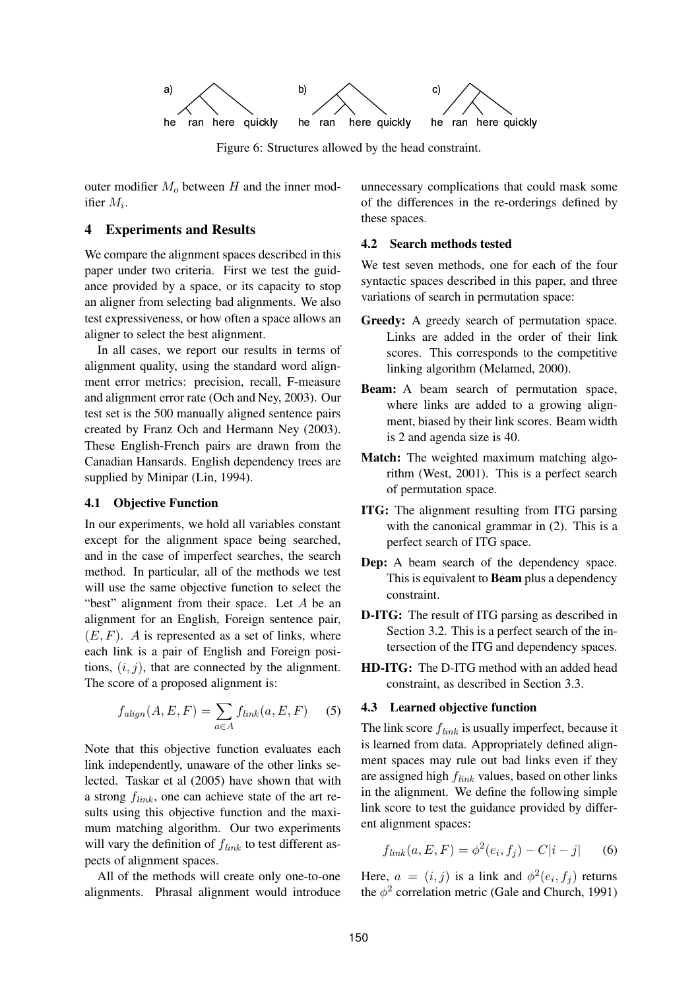

Figure 6: Structures allowed by the head constraint.

outer modifier  $M<sub>o</sub>$  between H and the inner modifier  $M_i$ .

# **4 Experiments and Results**

We compare the alignment spaces described in this paper under two criteria. First we test the guidance provided by a space, or its capacity to stop an aligner from selecting bad alignments. We also test expressiveness, or how often a space allows an aligner to select the best alignment.

In all cases, we report our results in terms of alignment quality, using the standard word alignment error metrics: precision, recall, F-measure and alignment error rate (Och and Ney, 2003). Our test set is the 500 manually aligned sentence pairs created by Franz Och and Hermann Ney (2003). These English-French pairs are drawn from the Canadian Hansards. English dependency trees are supplied by Minipar (Lin, 1994).

#### **4.1 Objective Function**

In our experiments, we hold all variables constant except for the alignment space being searched, and in the case of imperfect searches, the search method. In particular, all of the methods we test will use the same objective function to select the "best" alignment from their space. Let A be an alignment for an English, Foreign sentence pair,  $(E, F)$ . A is represented as a set of links, where each link is a pair of English and Foreign positions,  $(i, j)$ , that are connected by the alignment. The score of a proposed alignment is:

$$
f_{\text{align}}(A, E, F) = \sum_{a \in A} f_{\text{link}}(a, E, F) \quad (5)
$$

Note that this objective function evaluates each link independently, unaware of the other links selected. Taskar et al (2005) have shown that with a strong  $f_{link}$ , one can achieve state of the art results using this objective function and the maximum matching algorithm. Our two experiments will vary the definition of  $f_{link}$  to test different aspects of alignment spaces.

All of the methods will create only one-to-one alignments. Phrasal alignment would introduce unnecessary complications that could mask some of the differences in the re-orderings defined by these spaces.

## **4.2 Search methods tested**

We test seven methods, one for each of the four syntactic spaces described in this paper, and three variations of search in permutation space:

- **Greedy:** A greedy search of permutation space. Links are added in the order of their link scores. This corresponds to the competitive linking algorithm (Melamed, 2000).
- **Beam:** A beam search of permutation space, where links are added to a growing alignment, biased by their link scores. Beam width is 2 and agenda size is 40.
- **Match:** The weighted maximum matching algorithm (West, 2001). This is a perfect search of permutation space.
- **ITG:** The alignment resulting from ITG parsing with the canonical grammar in  $(2)$ . This is a perfect search of ITG space.
- **Dep:** A beam search of the dependency space. This is equivalent to **Beam** plus a dependency constraint.
- **D-ITG:** The result of ITG parsing as described in Section 3.2. This is a perfect search of the intersection of the ITG and dependency spaces.
- **HD-ITG:** The D-ITG method with an added head constraint, as described in Section 3.3.

#### **4.3 Learned objective function**

The link score  $f_{link}$  is usually imperfect, because it is learned from data. Appropriately defined alignment spaces may rule out bad links even if they are assigned high  $f_{link}$  values, based on other links in the alignment. We define the following simple link score to test the guidance provided by different alignment spaces:

$$
f_{link}(a, E, F) = \phi^{2}(e_i, f_j) - C|i - j| \qquad (6)
$$

Here,  $a = (i, j)$  is a link and  $\phi^2(e_i, f_j)$  returns the  $\phi^2$  correlation metric (Gale and Church, 1991)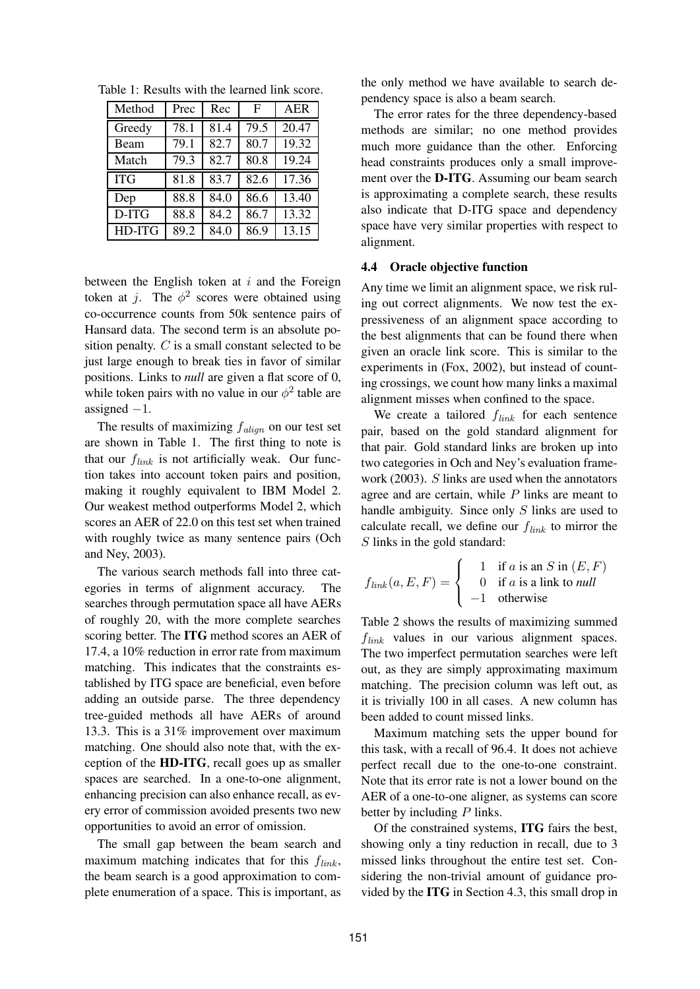| Method     | Prec | Rec  | F    | <b>AER</b> |
|------------|------|------|------|------------|
| Greedy     | 78.1 | 81.4 | 79.5 | 20.47      |
| Beam       | 79.1 | 82.7 | 80.7 | 19.32      |
| Match      | 79.3 | 82.7 | 80.8 | 19.24      |
| <b>ITG</b> | 81.8 | 83.7 | 82.6 | 17.36      |
| Dep        | 88.8 | 84.0 | 86.6 | 13.40      |
| D-ITG      | 88.8 | 84.2 | 86.7 | 13.32      |
| HD-ITG     | 89.2 | 84.0 | 86.9 | 13.15      |

Table 1: Results with the learned link score.

between the English token at  $i$  and the Foreign token at j. The  $\phi^2$  scores were obtained using co-occurrence counts from 50k sentence pairs of Hansard data. The second term is an absolute position penalty. C is a small constant selected to be just large enough to break ties in favor of similar positions. Links to *null* are given a flat score of 0, while token pairs with no value in our  $\phi^2$  table are assigned  $-1$ .

The results of maximizing  $f_{align}$  on our test set are shown in Table 1. The first thing to note is that our  $f_{link}$  is not artificially weak. Our function takes into account token pairs and position, making it roughly equivalent to IBM Model 2. Our weakest method outperforms Model 2, which scores an AER of 22.0 on this test set when trained with roughly twice as many sentence pairs (Och and Ney, 2003).

The various search methods fall into three categories in terms of alignment accuracy. The searches through permutation space all have AERs of roughly 20, with the more complete searches scoring better. The **ITG** method scores an AER of 17.4, a 10% reduction in error rate from maximum matching. This indicates that the constraints established by ITG space are beneficial, even before adding an outside parse. The three dependency tree-guided methods all have AERs of around 13.3. This is a 31% improvement over maximum matching. One should also note that, with the exception of the **HD-ITG**, recall goes up as smaller spaces are searched. In a one-to-one alignment, enhancing precision can also enhance recall, as every error of commission avoided presents two new opportunities to avoid an error of omission.

The small gap between the beam search and maximum matching indicates that for this  $f_{link}$ , the beam search is a good approximation to complete enumeration of a space. This is important, as the only method we have available to search dependency space is also a beam search.

The error rates for the three dependency-based methods are similar; no one method provides much more guidance than the other. Enforcing head constraints produces only a small improvement over the **D-ITG**. Assuming our beam search is approximating a complete search, these results also indicate that D-ITG space and dependency space have very similar properties with respect to alignment.

## **4.4 Oracle objective function**

Any time we limit an alignment space, we risk ruling out correct alignments. We now test the expressiveness of an alignment space according to the best alignments that can be found there when given an oracle link score. This is similar to the experiments in (Fox, 2002), but instead of counting crossings, we count how many links a maximal alignment misses when confined to the space.

We create a tailored  $f_{link}$  for each sentence pair, based on the gold standard alignment for that pair. Gold standard links are broken up into two categories in Och and Ney's evaluation framework (2003). S links are used when the annotators agree and are certain, while  $P$  links are meant to handle ambiguity. Since only S links are used to calculate recall, we define our  $f_{link}$  to mirror the S links in the gold standard:

$$
f_{link}(a, E, F) = \begin{cases} 1 & \text{if } a \text{ is an } S \text{ in } (E, F) \\ 0 & \text{if } a \text{ is a link to null} \\ -1 & \text{otherwise} \end{cases}
$$

Table 2 shows the results of maximizing summed  $f_{link}$  values in our various alignment spaces. The two imperfect permutation searches were left out, as they are simply approximating maximum matching. The precision column was left out, as it is trivially 100 in all cases. A new column has been added to count missed links.

Maximum matching sets the upper bound for this task, with a recall of 96.4. It does not achieve perfect recall due to the one-to-one constraint. Note that its error rate is not a lower bound on the AER of a one-to-one aligner, as systems can score better by including  $P$  links.

Of the constrained systems, **ITG** fairs the best, showing only a tiny reduction in recall, due to 3 missed links throughout the entire test set. Considering the non-trivial amount of guidance provided by the **ITG** in Section 4.3, this small drop in